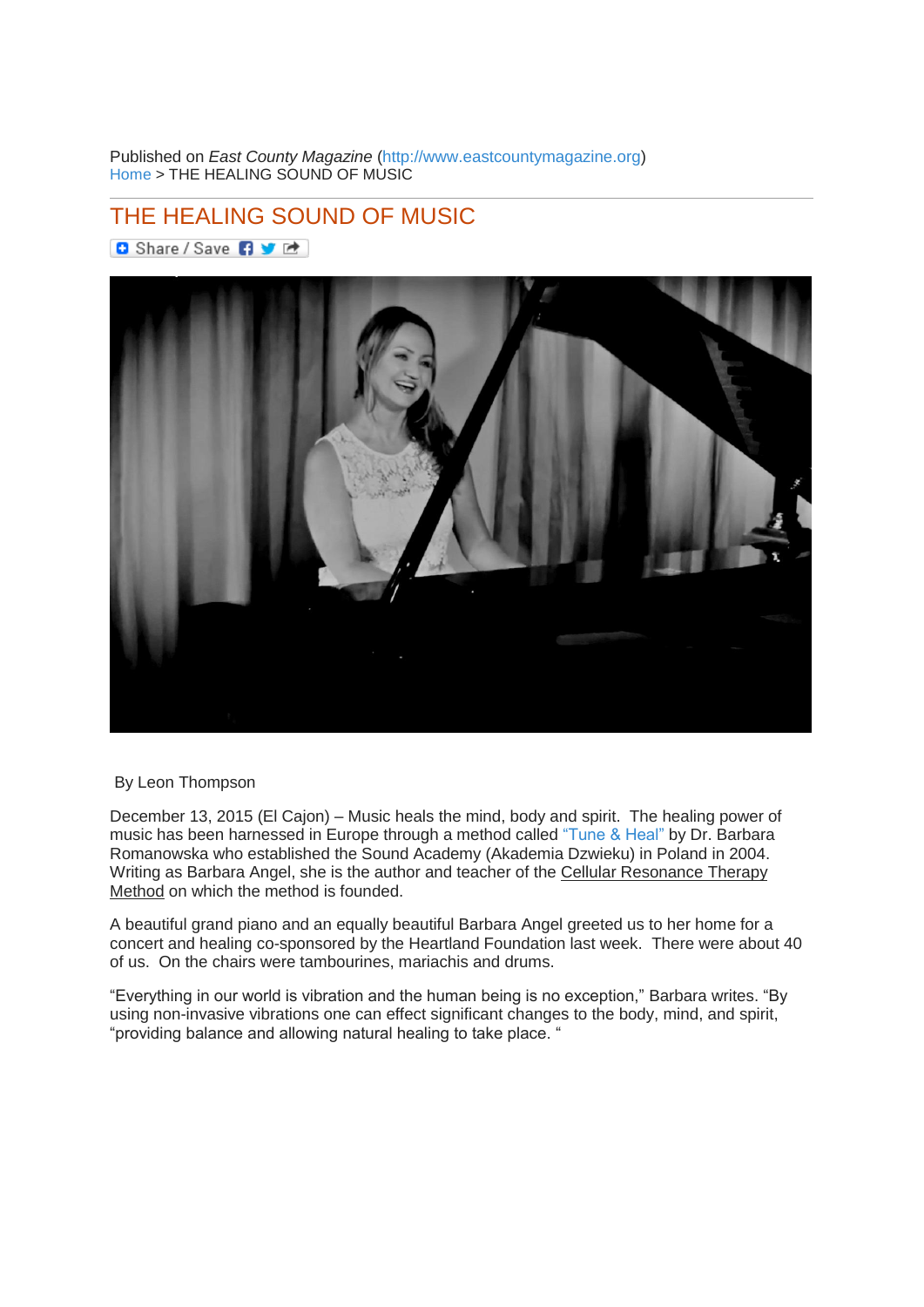Published on *East County Magazine* [\(http://www.eastcountymagazine.org\)](http://www.eastcountymagazine.org/) [Home](http://www.eastcountymagazine.org/) > THE HEALING SOUND OF MUSIC

## [THE HEALING SOUND OF MUSIC](http://www.eastcountymagazine.org/healing-sound-music)

**D** Share / Save 日 业 团



## By Leon Thompson

December 13, 2015 (El Cajon) – Music heals the mind, body and spirit. The healing power of music has been harnessed in Europe through a method called ["Tune & Heal"](http://www.tuneheal.com/) by Dr. Barbara Romanowska who established the Sound Academy (Akademia Dzwieku) in Poland in 2004. Writing as Barbara Angel, she is the author and teacher of the Cellular Resonance Therapy Method on which the method is founded.

A beautiful grand piano and an equally beautiful Barbara Angel greeted us to her home for a concert and healing co-sponsored by the Heartland Foundation last week. There were about 40 of us. On the chairs were tambourines, mariachis and drums.

"Everything in our world is vibration and the human being is no exception," Barbara writes. "By using non-invasive vibrations one can effect significant changes to the body, mind, and spirit, "providing balance and allowing natural healing to take place. "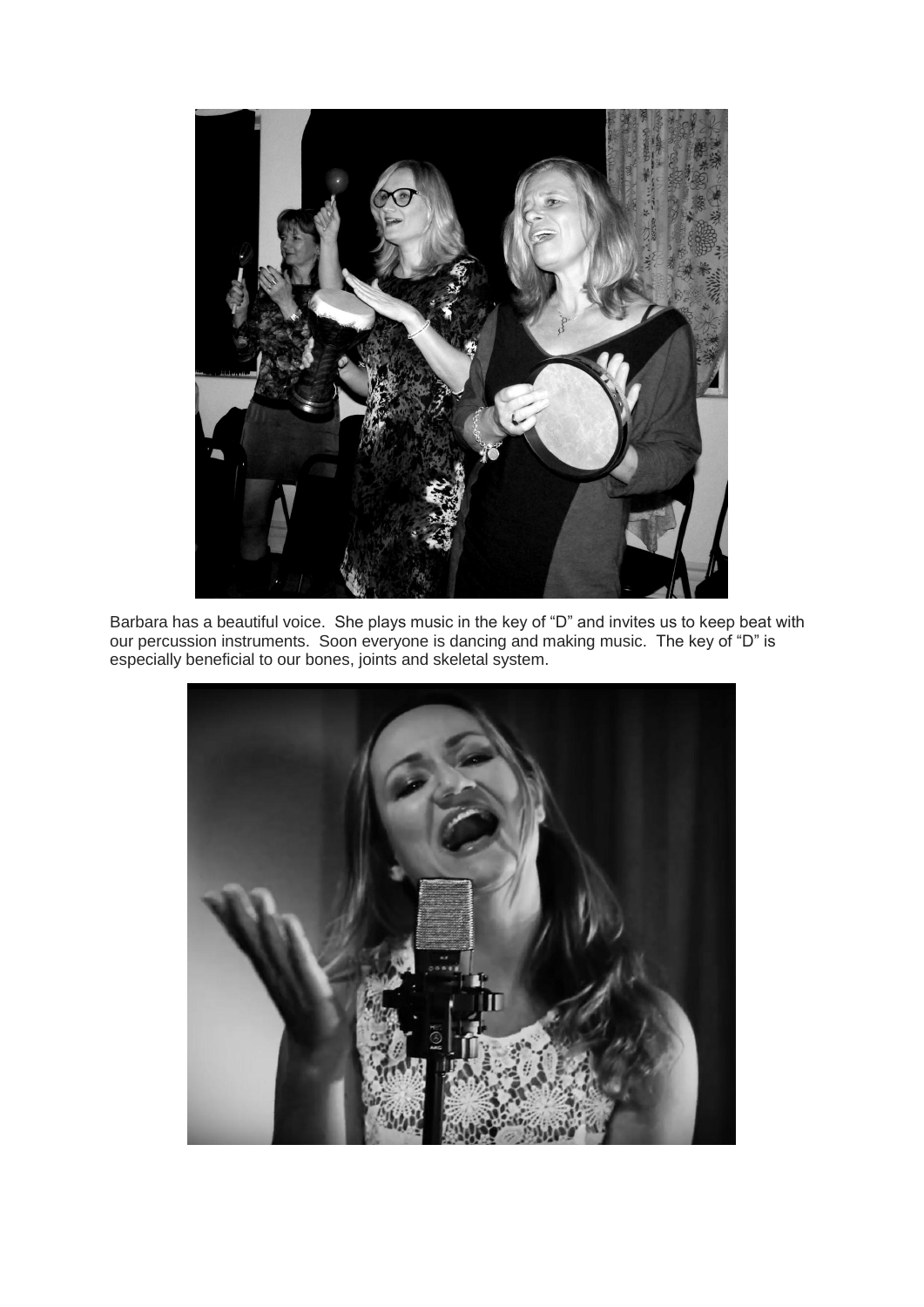

Barbara has a beautiful voice. She plays music in the key of "D" and invites us to keep beat with our percussion instruments. Soon everyone is dancing and making music. The key of "D" is especially beneficial to our bones, joints and skeletal system.